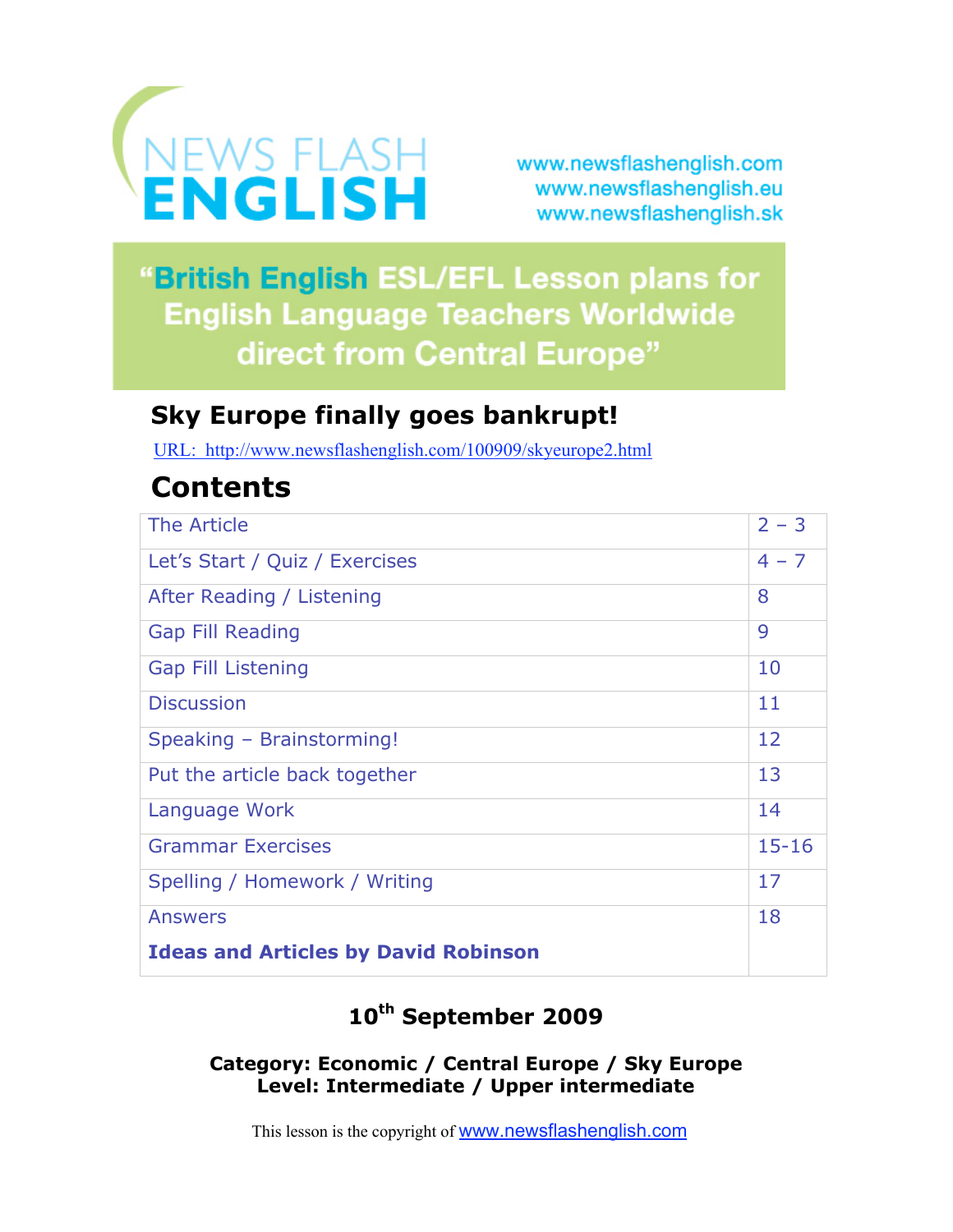

www.newsflashenglish.com www.newsflashenglish.eu www.newsflashenglish.sk

"British English ESL/EFL Lesson plans for **English Language Teachers Worldwide** direct from Central Europe"

# **Sky Europe finally goes bankrupt!**

URL: http://www.newsflashenglish.com/100909/skyeurope2.html

# **Contents**

| The Article                                 | $2 - 3$   |
|---------------------------------------------|-----------|
| Let's Start / Quiz / Exercises              | $4 - 7$   |
| After Reading / Listening                   | 8         |
| <b>Gap Fill Reading</b>                     | 9         |
| <b>Gap Fill Listening</b>                   | 10        |
| <b>Discussion</b>                           | 11        |
| Speaking - Brainstorming!                   | 12        |
| Put the article back together               | 13        |
| Language Work                               | 14        |
| <b>Grammar Exercises</b>                    | $15 - 16$ |
| Spelling / Homework / Writing               | 17        |
| <b>Answers</b>                              | 18        |
| <b>Ideas and Articles by David Robinson</b> |           |

# **10th September 2009**

## **Category: Economic / Central Europe / Sky Europe Level: Intermediate / Upper intermediate**

This lesson is the copyright of www.newsflashenglish.com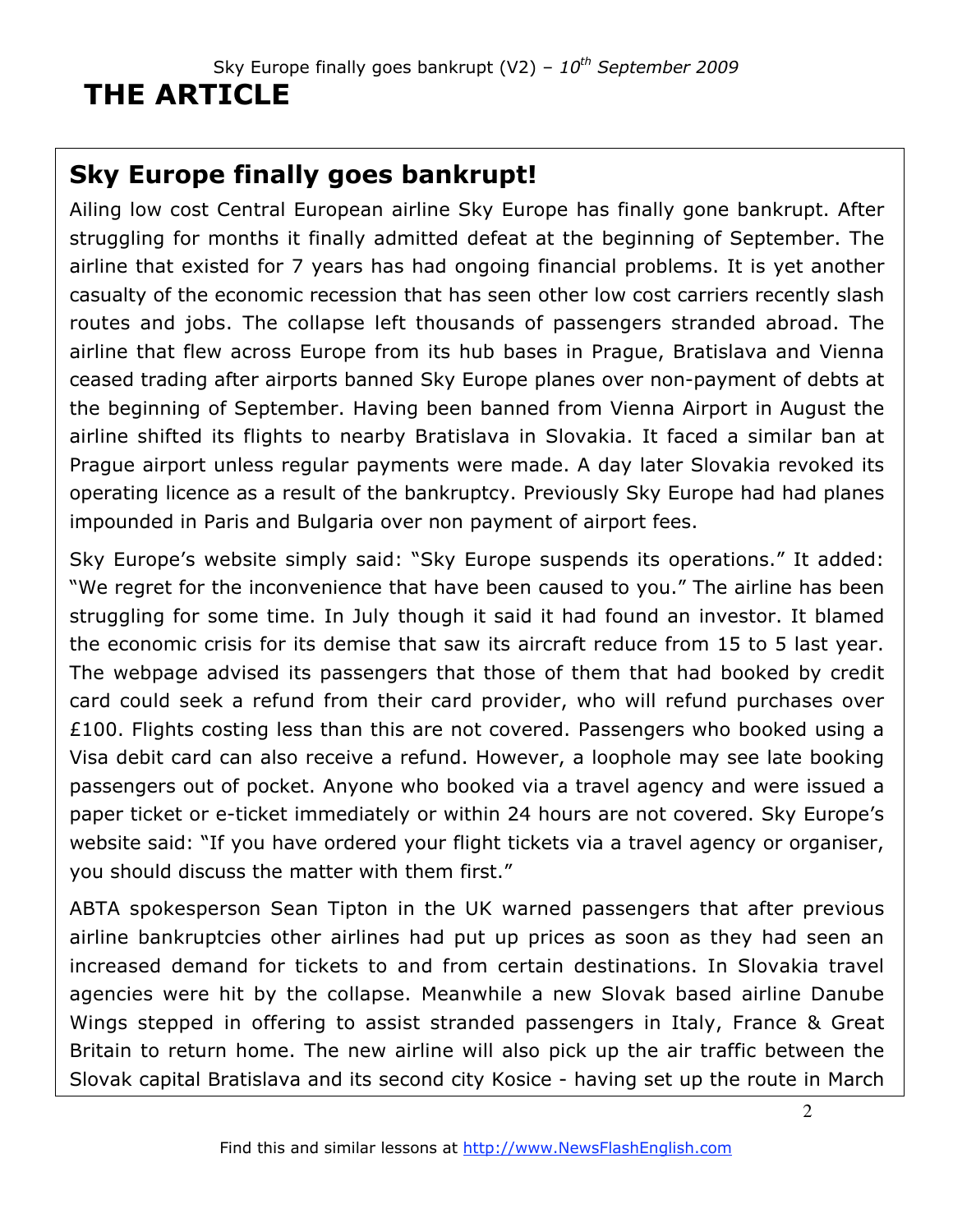# **Sky Europe finally goes bankrupt!**

Ailing low cost Central European airline Sky Europe has finally gone bankrupt. After struggling for months it finally admitted defeat at the beginning of September. The airline that existed for 7 years has had ongoing financial problems. It is yet another casualty of the economic recession that has seen other low cost carriers recently slash routes and jobs. The collapse left thousands of passengers stranded abroad. The airline that flew across Europe from its hub bases in Prague, Bratislava and Vienna ceased trading after airports banned Sky Europe planes over non-payment of debts at the beginning of September. Having been banned from Vienna Airport in August the airline shifted its flights to nearby Bratislava in Slovakia. It faced a similar ban at Prague airport unless regular payments were made. A day later Slovakia revoked its operating licence as a result of the bankruptcy. Previously Sky Europe had had planes impounded in Paris and Bulgaria over non payment of airport fees.

Sky Europe's website simply said: "Sky Europe suspends its operations." It added: "We regret for the inconvenience that have been caused to you." The airline has been struggling for some time. In July though it said it had found an investor. It blamed the economic crisis for its demise that saw its aircraft reduce from 15 to 5 last year. The webpage advised its passengers that those of them that had booked by credit card could seek a refund from their card provider, who will refund purchases over £100. Flights costing less than this are not covered. Passengers who booked using a Visa debit card can also receive a refund. However, a loophole may see late booking passengers out of pocket. Anyone who booked via a travel agency and were issued a paper ticket or e-ticket immediately or within 24 hours are not covered. Sky Europe's website said: "If you have ordered your flight tickets via a travel agency or organiser, you should discuss the matter with them first."

ABTA spokesperson Sean Tipton in the UK warned passengers that after previous airline bankruptcies other airlines had put up prices as soon as they had seen an increased demand for tickets to and from certain destinations. In Slovakia travel agencies were hit by the collapse. Meanwhile a new Slovak based airline Danube Wings stepped in offering to assist stranded passengers in Italy, France & Great Britain to return home. The new airline will also pick up the air traffic between the Slovak capital Bratislava and its second city Kosice - having set up the route in March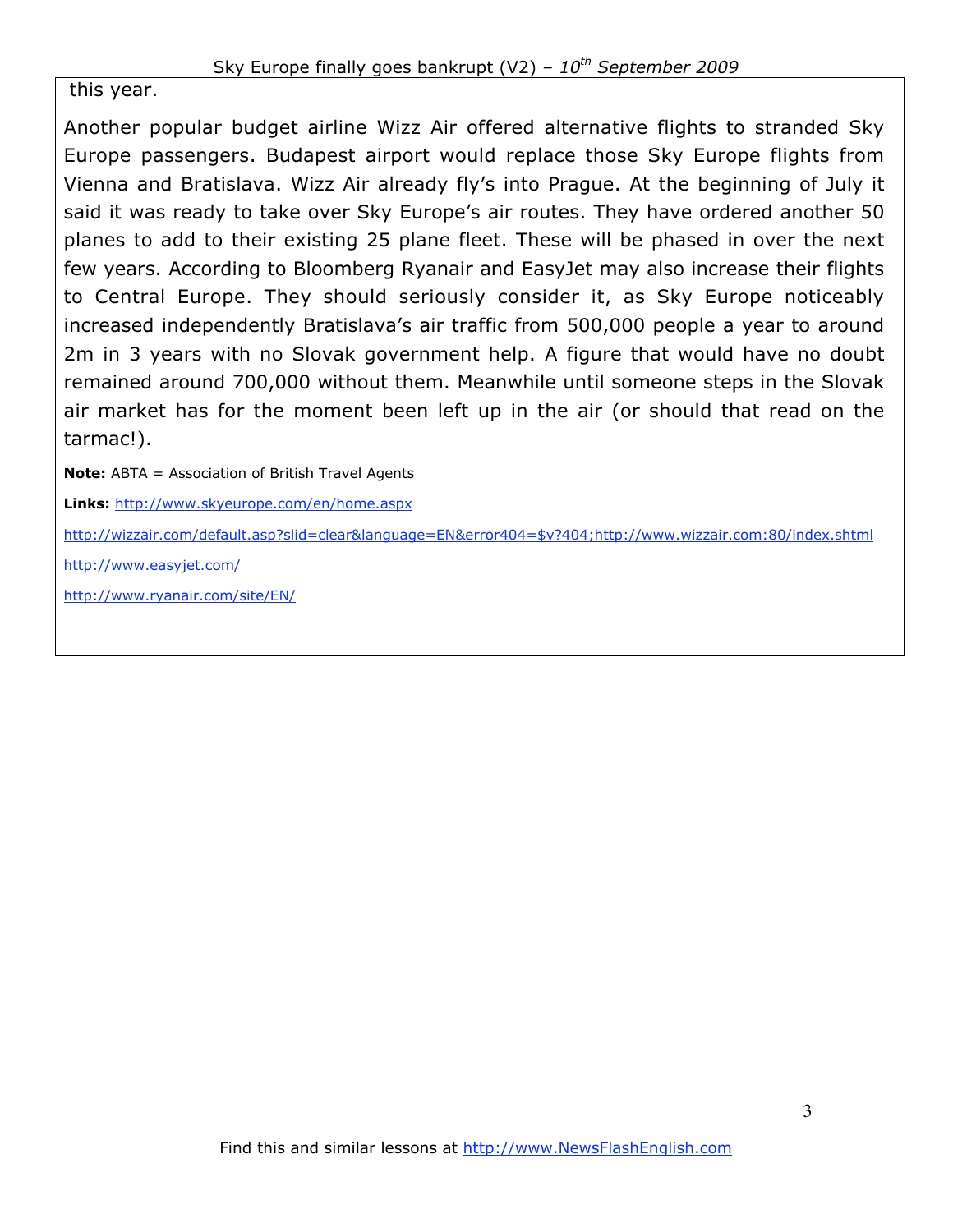this year.

Another popular budget airline Wizz Air offered alternative flights to stranded Sky Europe passengers. Budapest airport would replace those Sky Europe flights from Vienna and Bratislava. Wizz Air already fly's into Prague. At the beginning of July it said it was ready to take over Sky Europe's air routes. They have ordered another 50 planes to add to their existing 25 plane fleet. These will be phased in over the next few years. According to Bloomberg Ryanair and EasyJet may also increase their flights to Central Europe. They should seriously consider it, as Sky Europe noticeably increased independently Bratislava's air traffic from 500,000 people a year to around 2m in 3 years with no Slovak government help. A figure that would have no doubt remained around 700,000 without them. Meanwhile until someone steps in the Slovak air market has for the moment been left up in the air (or should that read on the tarmac!).

**Note:** ABTA = Association of British Travel Agents

**Links:** http://www.skyeurope.com/en/home.aspx

http://wizzair.com/default.asp?slid=clear&language=EN&error404=\$v?404;http://www.wizzair.com:80/index.shtml

http://www.easyjet.com/

http://www.ryanair.com/site/EN/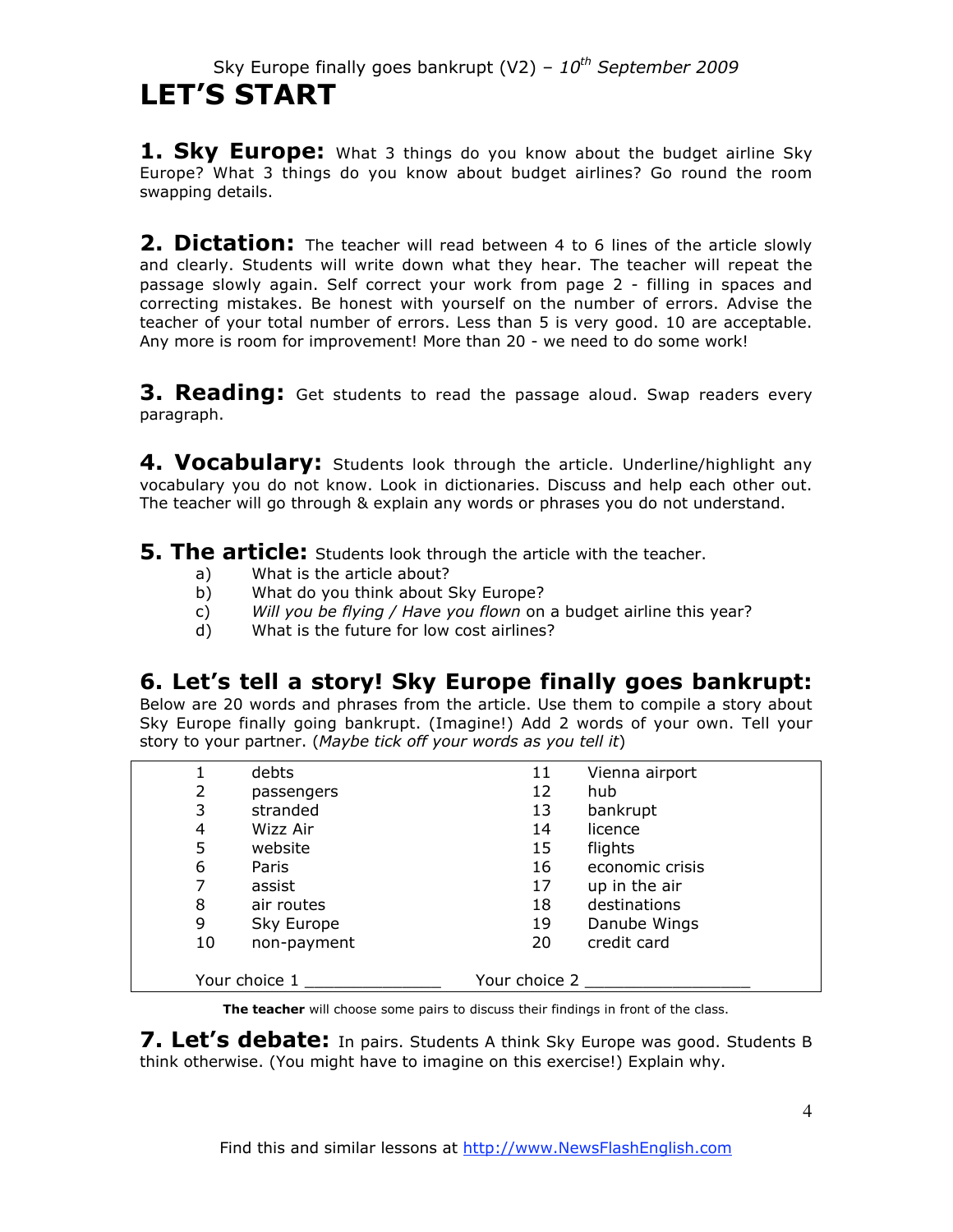## Sky Europe finally goes bankrupt (V2) – *10th September 2009* **LET'S START**

**1. Sky Europe:** What 3 things do you know about the budget airline Sky Europe? What 3 things do you know about budget airlines? Go round the room swapping details.

**2. Dictation:** The teacher will read between 4 to 6 lines of the article slowly and clearly. Students will write down what they hear. The teacher will repeat the passage slowly again. Self correct your work from page 2 - filling in spaces and correcting mistakes. Be honest with yourself on the number of errors. Advise the teacher of your total number of errors. Less than 5 is very good. 10 are acceptable. Any more is room for improvement! More than 20 - we need to do some work!

**3. Reading:** Get students to read the passage aloud. Swap readers every paragraph.

**4. Vocabulary:** Students look through the article. Underline/highlight any vocabulary you do not know. Look in dictionaries. Discuss and help each other out. The teacher will go through & explain any words or phrases you do not understand.

**5. The article:** Students look through the article with the teacher.

- a) What is the article about?
- b) What do you think about Sky Europe?
- c) *Will you be flying / Have you flown* on a budget airline this year?
- d) What is the future for low cost airlines?

## **6. Let's tell a story! Sky Europe finally goes bankrupt:**

Below are 20 words and phrases from the article. Use them to compile a story about Sky Europe finally going bankrupt. (Imagine!) Add 2 words of your own. Tell your story to your partner. (*Maybe tick off your words as you tell it*)

|    | debts         | 11            | Vienna airport  |
|----|---------------|---------------|-----------------|
| 2  |               | 12            | hub             |
|    | passengers    |               |                 |
| 3  | stranded      | 13            | bankrupt        |
| 4  | Wizz Air      | 14            | licence         |
| 5  | website       | 15            | flights         |
| 6  | Paris         | 16            | economic crisis |
| 7  | assist        | 17            | up in the air   |
| 8  | air routes    | 18            | destinations    |
| 9  | Sky Europe    | 19            | Danube Wings    |
| 10 | non-payment   | 20            | credit card     |
|    |               |               |                 |
|    | Your choice 1 | Your choice 2 |                 |

**The teacher** will choose some pairs to discuss their findings in front of the class.

**7. Let's debate:** In pairs. Students A think Sky Europe was good. Students B think otherwise. (You might have to imagine on this exercise!) Explain why.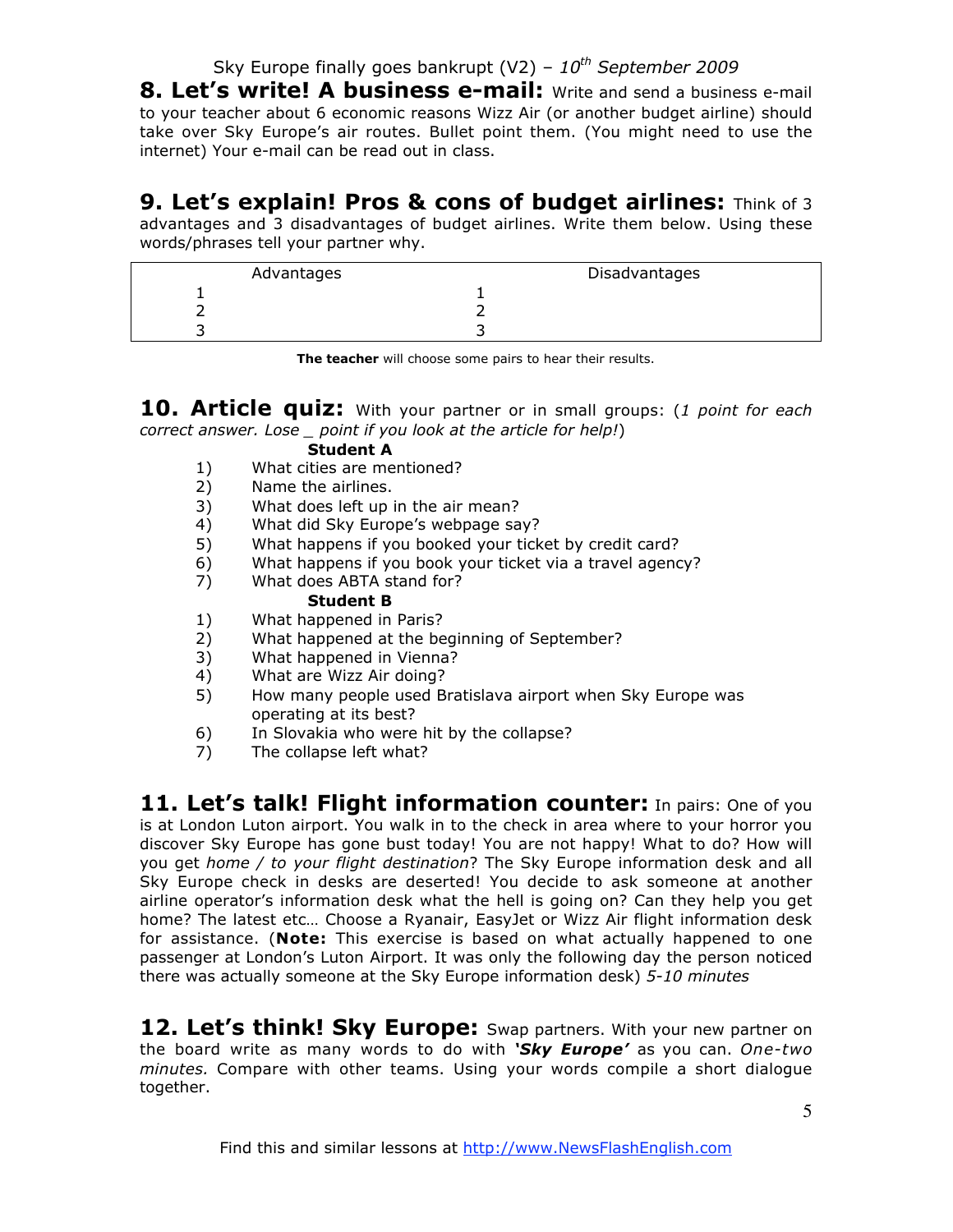## Sky Europe finally goes bankrupt (V2) -  $10^{th}$  September 2009

**8. Let's write! A business e-mail:** Write and send a business e-mail to your teacher about 6 economic reasons Wizz Air (or another budget airline) should take over Sky Europe's air routes. Bullet point them. (You might need to use the internet) Your e-mail can be read out in class.

**9. Let's explain! Pros & cons of budget airlines:** Think of 3 advantages and 3 disadvantages of budget airlines. Write them below. Using these words/phrases tell your partner why.

| Advantages | Disadvantages |
|------------|---------------|
|            |               |
|            |               |
|            |               |

**The teacher** will choose some pairs to hear their results.

**10. Article quiz:** With your partner or in small groups: (*1 point for each correct answer. Lose \_ point if you look at the article for help!*)

#### **Student A**

- 1) What cities are mentioned?
- 2) Name the airlines.
- 3) What does left up in the air mean?
- 4) What did Sky Europe's webpage say?
- 5) What happens if you booked your ticket by credit card?
- 6) What happens if you book your ticket via a travel agency?
- 7) What does ABTA stand for?

#### **Student B**

- 1) What happened in Paris?
- 2) What happened at the beginning of September?
- 3) What happened in Vienna?
- 4) What are Wizz Air doing?
- 5) How many people used Bratislava airport when Sky Europe was operating at its best?
- 6) In Slovakia who were hit by the collapse?
- 7) The collapse left what?

**11. Let's talk! Flight information counter:** In pairs: One of you is at London Luton airport. You walk in to the check in area where to your horror you discover Sky Europe has gone bust today! You are not happy! What to do? How will you get *home / to your flight destination*? The Sky Europe information desk and all Sky Europe check in desks are deserted! You decide to ask someone at another airline operator's information desk what the hell is going on? Can they help you get home? The latest etc… Choose a Ryanair, EasyJet or Wizz Air flight information desk for assistance. (**Note:** This exercise is based on what actually happened to one passenger at London's Luton Airport. It was only the following day the person noticed there was actually someone at the Sky Europe information desk) *5-10 minutes*

**12. Let's think! Sky Europe:** Swap partners. With your new partner on the board write as many words to do with *'Sky Europe'* as you can. *One-two minutes.* Compare with other teams. Using your words compile a short dialogue together.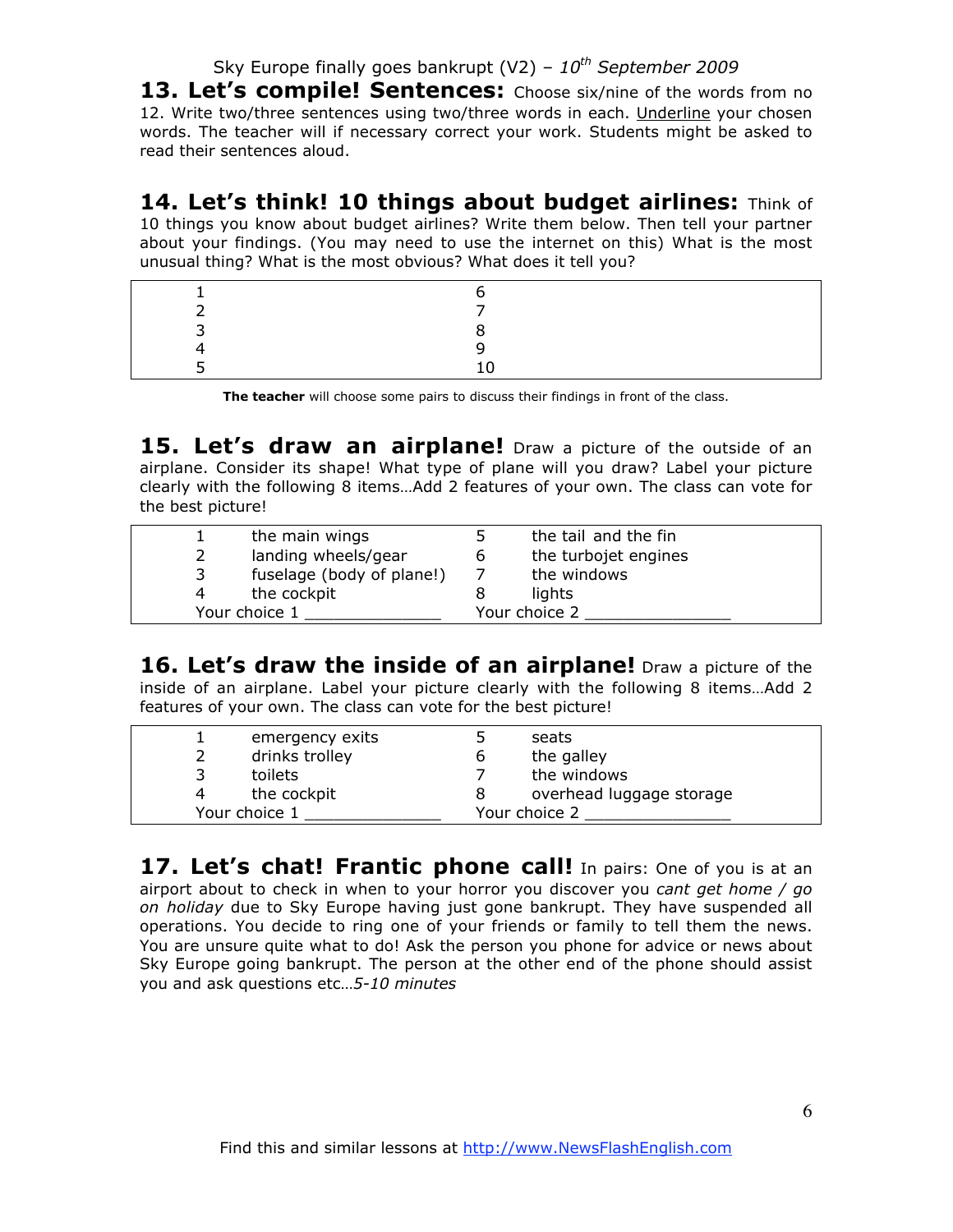## Sky Europe finally goes bankrupt (V2) -  $10^{th}$  September 2009

13. Let's compile! Sentences: Choose six/nine of the words from no 12. Write two/three sentences using two/three words in each. Underline your chosen words. The teacher will if necessary correct your work. Students might be asked to read their sentences aloud.

**14. Let's think! 10 things about budget airlines:** Think of 10 things you know about budget airlines? Write them below. Then tell your partner about your findings. (You may need to use the internet on this) What is the most unusual thing? What is the most obvious? What does it tell you?

**The teacher** will choose some pairs to discuss their findings in front of the class.

**15. Let's draw an airplane!** Draw a picture of the outside of an airplane. Consider its shape! What type of plane will you draw? Label your picture clearly with the following 8 items…Add 2 features of your own. The class can vote for the best picture!

|   | the main wings            |   | the tail and the fin |
|---|---------------------------|---|----------------------|
|   | landing wheels/gear       | b | the turbojet engines |
| 3 | fuselage (body of plane!) |   | the windows          |
| 4 | the cockpit               |   | lights               |
|   | Your choice 1             |   | Your choice 2        |

**16. Let's draw the inside of an airplane!** Draw a picture of the inside of an airplane. Label your picture clearly with the following 8 items…Add 2 features of your own. The class can vote for the best picture!

|  | emergency exits | seats                    |
|--|-----------------|--------------------------|
|  | drinks trolley  | the galley               |
|  | toilets         | the windows              |
|  | the cockpit     | overhead luggage storage |
|  | Your choice 1   | Your choice 2            |

17. Let's chat! Frantic phone call! In pairs: One of you is at an airport about to check in when to your horror you discover you *cant get home / go on holiday* due to Sky Europe having just gone bankrupt. They have suspended all operations. You decide to ring one of your friends or family to tell them the news. You are unsure quite what to do! Ask the person you phone for advice or news about Sky Europe going bankrupt. The person at the other end of the phone should assist you and ask questions etc…*5-10 minutes*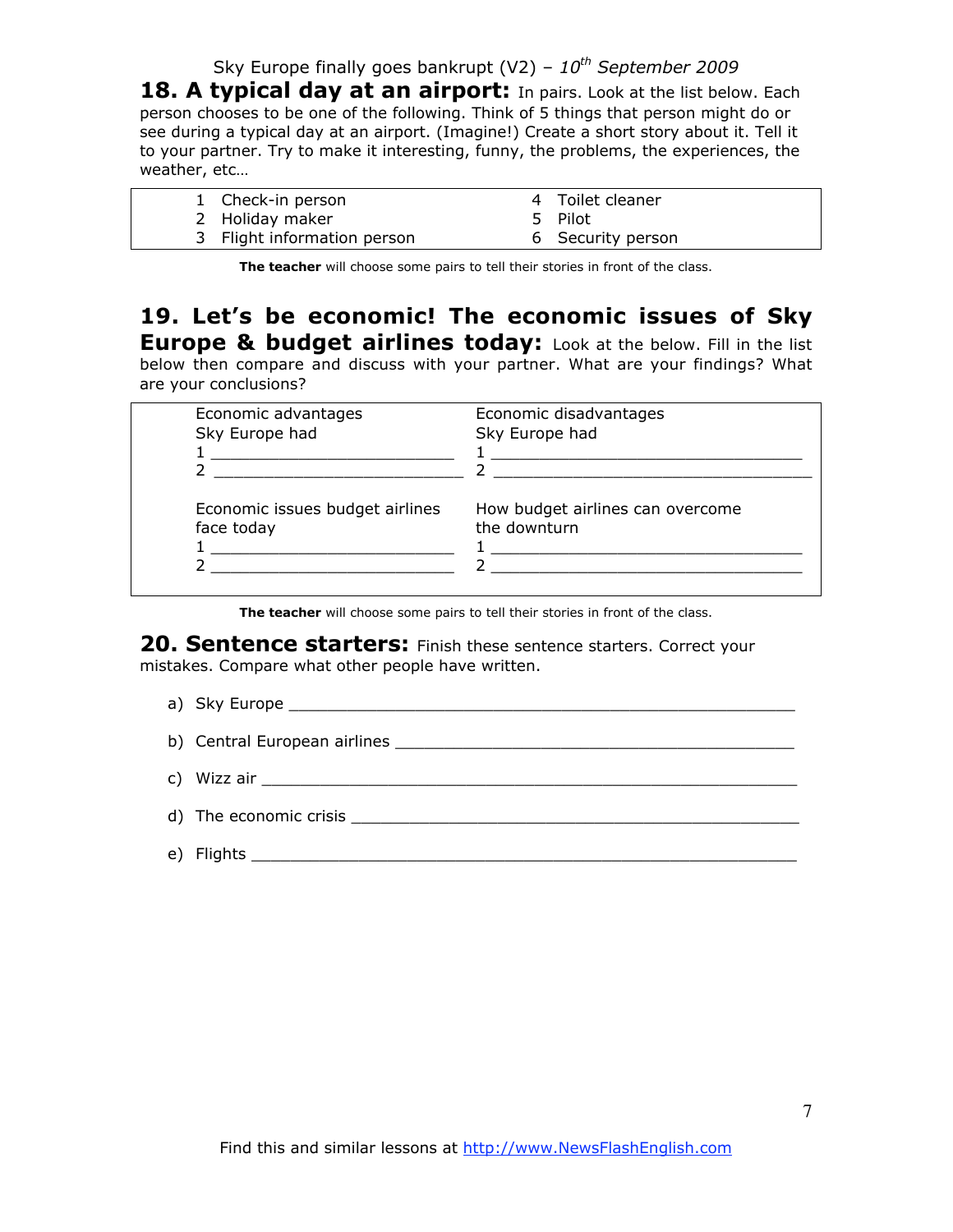Sky Europe finally goes bankrupt (V2) – *10th September 2009*

18. A typical day at an airport: In pairs. Look at the list below. Each person chooses to be one of the following. Think of 5 things that person might do or see during a typical day at an airport. (Imagine!) Create a short story about it. Tell it to your partner. Try to make it interesting, funny, the problems, the experiences, the weather, etc…

| 1 Check-in person           | 4 Toilet cleaner  |
|-----------------------------|-------------------|
| 2 Holiday maker             | 5 Pilot           |
| 3 Flight information person | 6 Security person |

**The teacher** will choose some pairs to tell their stories in front of the class.

### **19. Let's be economic! The economic issues of Sky Europe & budget airlines today:** Look at the below. Fill in the list below then compare and discuss with your partner. What are your findings? What

are your conclusions?

| Economic advantages<br>Sky Europe had | Economic disadvantages<br>Sky Europe had |
|---------------------------------------|------------------------------------------|
|                                       |                                          |
|                                       |                                          |
| Economic issues budget airlines       | How budget airlines can overcome         |
| face today                            | the downturn                             |
|                                       |                                          |
|                                       |                                          |

**The teacher** will choose some pairs to tell their stories in front of the class.

20. Sentence starters: Finish these sentence starters. Correct your mistakes. Compare what other people have written.

a) Sky Europe

| e) | <b>Flights</b> |
|----|----------------|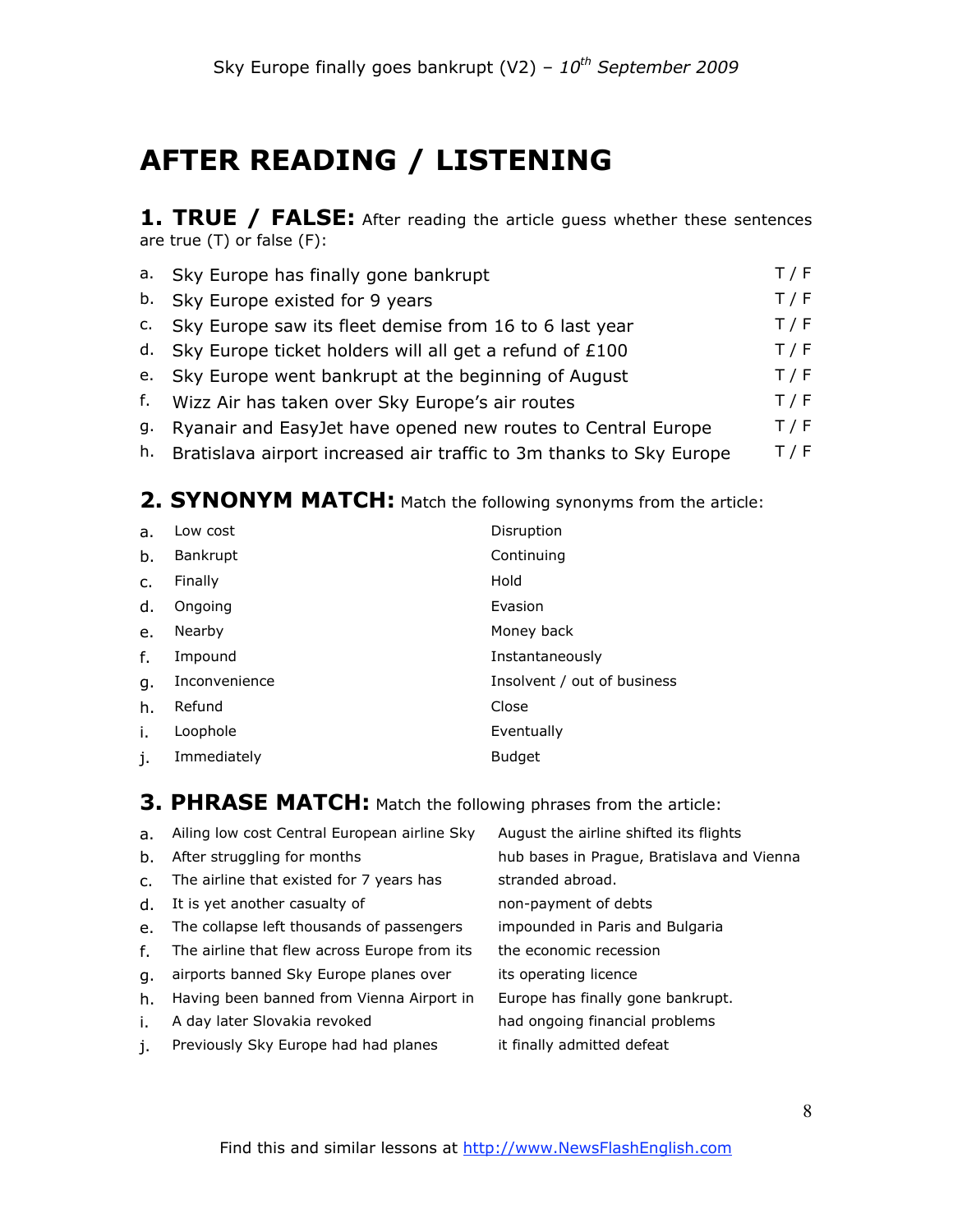# **AFTER READING / LISTENING**

1. TRUE / FALSE: After reading the article guess whether these sentences are true (T) or false (F):

| a. Sky Europe has finally gone bankrupt                                | T / F |
|------------------------------------------------------------------------|-------|
| b. Sky Europe existed for 9 years                                      | T / F |
| c. Sky Europe saw its fleet demise from 16 to 6 last year              | T / F |
| d. Sky Europe ticket holders will all get a refund of £100             | T / F |
| e. Sky Europe went bankrupt at the beginning of August                 | T / F |
| f. Wizz Air has taken over Sky Europe's air routes                     | T / F |
| g. Ryanair and EasyJet have opened new routes to Central Europe        | T / F |
| h. Bratislava airport increased air traffic to 3m thanks to Sky Europe | T / F |

## 2. SYNONYM MATCH: Match the following synonyms from the article:

| a.      | Low cost        | Disruption                  |
|---------|-----------------|-----------------------------|
| b.      | <b>Bankrupt</b> | Continuing                  |
| $C_{1}$ | Finally         | Hold                        |
| d.      | Ongoing         | Evasion                     |
| e.      | Nearby          | Money back                  |
| f.      | Impound         | Instantaneously             |
| g.      | Inconvenience   | Insolvent / out of business |
| h.      | Refund          | Close                       |
| i.      | Loophole        | Eventually                  |
| j.      | Immediately     | <b>Budget</b>               |

## **3. PHRASE MATCH:** Match the following phrases from the article:

| a.             | Ailing low cost Central European airline Sky | August the airline shifted its flights     |
|----------------|----------------------------------------------|--------------------------------------------|
| b.             | After struggling for months                  | hub bases in Prague, Bratislava and Vienna |
| $\mathsf{C}$ . | The airline that existed for 7 years has     | stranded abroad.                           |
| d.             | It is yet another casualty of                | non-payment of debts                       |
| $e_{1}$        | The collapse left thousands of passengers    | impounded in Paris and Bulgaria            |
| f.             | The airline that flew across Europe from its | the economic recession                     |
| q.             | airports banned Sky Europe planes over       | its operating licence                      |
| h.             | Having been banned from Vienna Airport in    | Europe has finally gone bankrupt.          |
| i.             | A day later Slovakia revoked                 | had ongoing financial problems             |

j. Previously Sky Europe had had planes it finally admitted defeat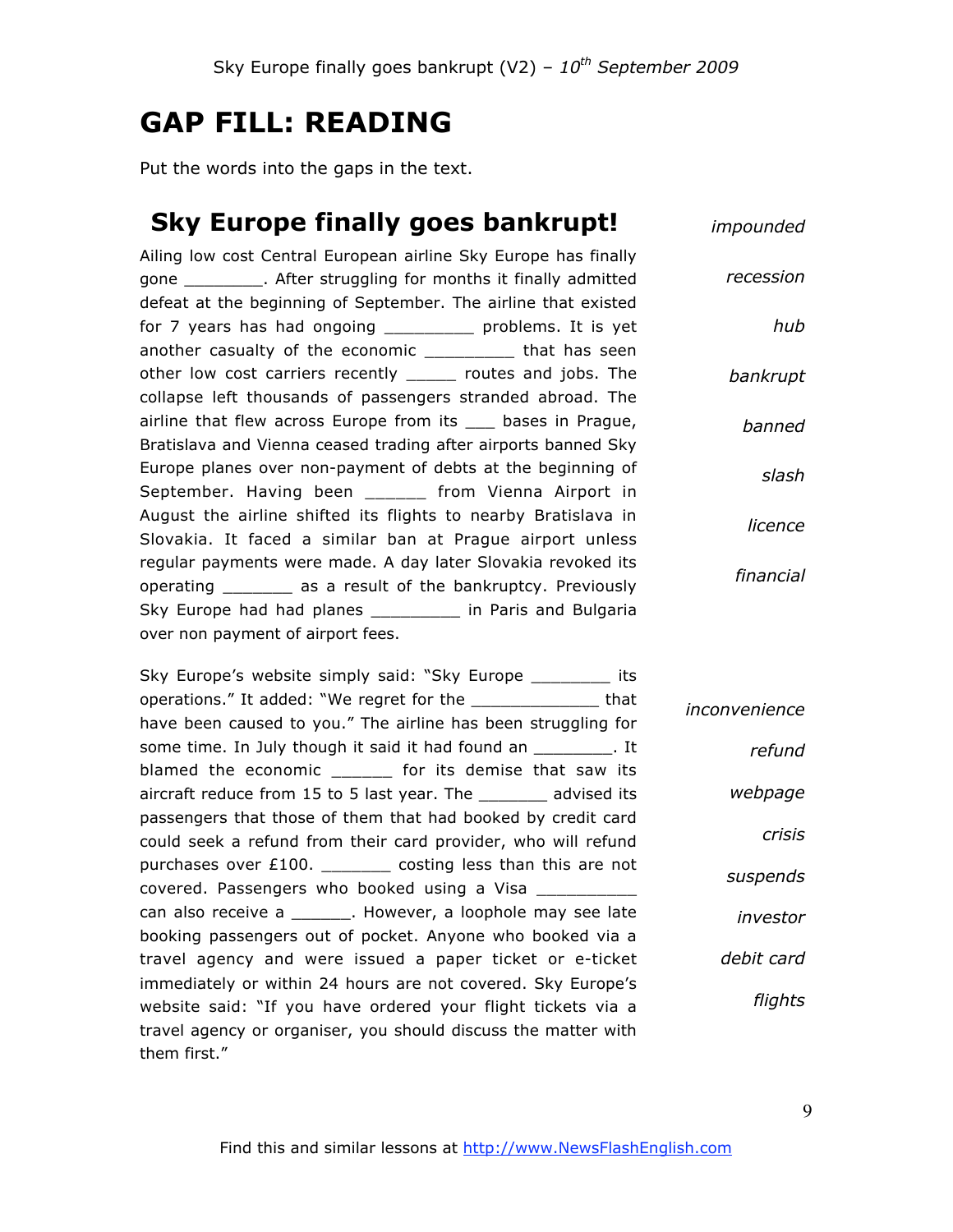# **GAP FILL: READING**

Put the words into the gaps in the text.

## **Sky Europe finally goes bankrupt!**

*impounded*

*hub*

*banned*

*slash*

*licence*

Ailing low cost Central European airline Sky Europe has finally gone \_\_\_\_\_\_\_\_. After struggling for months it finally admitted defeat at the beginning of September. The airline that existed for 7 years has had ongoing \_\_\_\_\_\_\_\_\_\_ problems. It is yet another casualty of the economic \_\_\_\_\_\_\_\_\_ that has seen other low cost carriers recently \_\_\_\_\_ routes and jobs. The collapse left thousands of passengers stranded abroad. The airline that flew across Europe from its bases in Prague, Bratislava and Vienna ceased trading after airports banned Sky Europe planes over non-payment of debts at the beginning of September. Having been \_\_\_\_\_\_ from Vienna Airport in August the airline shifted its flights to nearby Bratislava in Slovakia. It faced a similar ban at Prague airport unless regular payments were made. A day later Slovakia revoked its operating \_\_\_\_\_\_\_ as a result of the bankruptcy. Previously Sky Europe had had planes \_\_\_\_\_\_\_\_\_\_ in Paris and Bulgaria over non payment of airport fees. *recession bankrupt financial*

| Sky Europe's website simply said: "Sky Europe __________ its      |               |  |  |
|-------------------------------------------------------------------|---------------|--|--|
| operations." It added: "We regret for the                         | inconvenience |  |  |
| have been caused to you." The airline has been struggling for     |               |  |  |
| some time. In July though it said it had found an _________. It   | refund        |  |  |
| blamed the economic _______ for its demise that saw its           |               |  |  |
| aircraft reduce from 15 to 5 last year. The _________ advised its | webpage       |  |  |
| passengers that those of them that had booked by credit card      |               |  |  |
| could seek a refund from their card provider, who will refund     | crisis        |  |  |
| purchases over £100. _________ costing less than this are not     | suspends      |  |  |
| covered. Passengers who booked using a Visa __________            |               |  |  |
| can also receive a ________. However, a loophole may see late     | investor      |  |  |
| booking passengers out of pocket. Anyone who booked via a         |               |  |  |
| travel agency and were issued a paper ticket or e-ticket          | debit card    |  |  |
| immediately or within 24 hours are not covered. Sky Europe's      |               |  |  |
| website said: "If you have ordered your flight tickets via a      | flights       |  |  |
| travel agency or organiser, you should discuss the matter with    |               |  |  |
| them first."                                                      |               |  |  |
|                                                                   |               |  |  |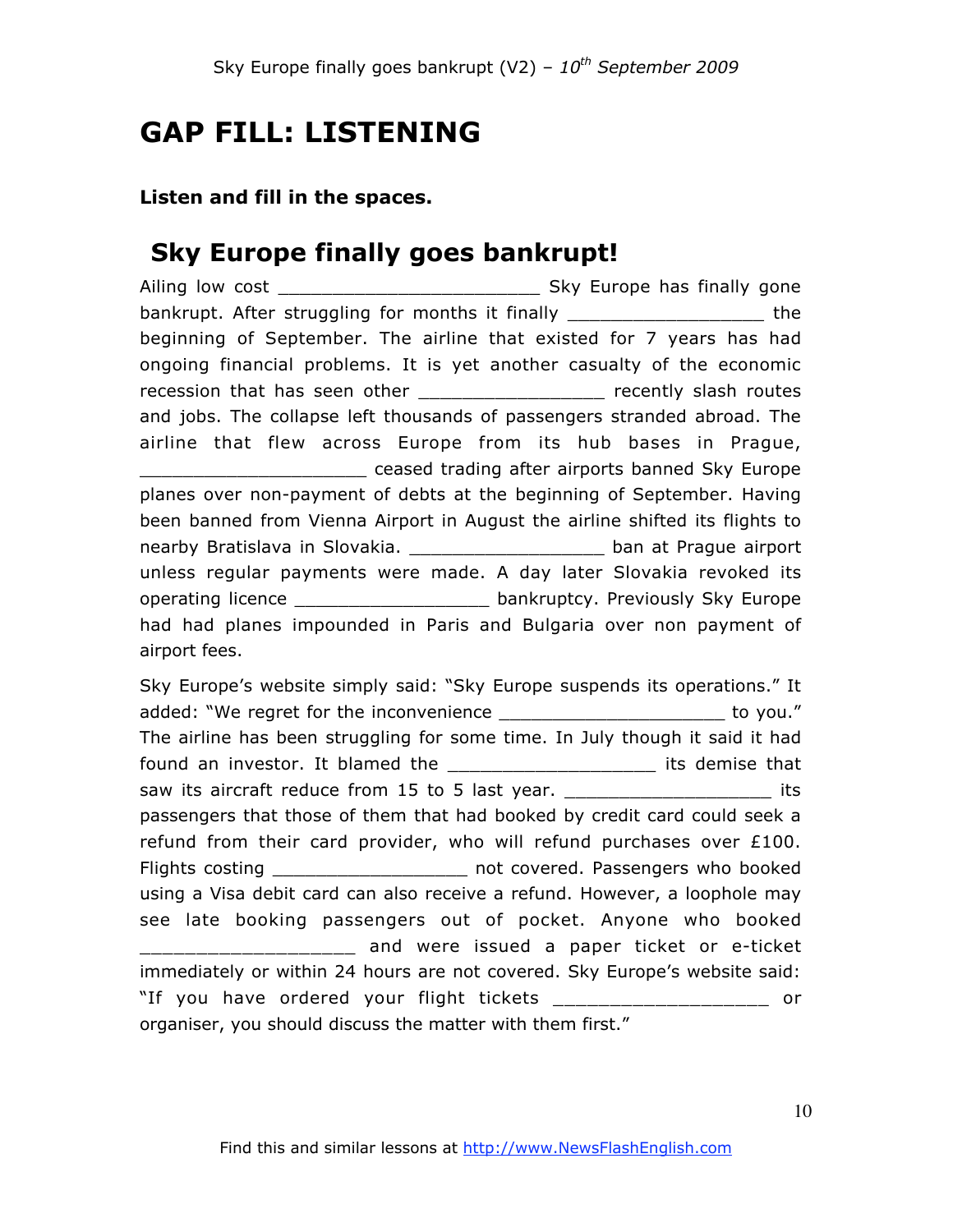# **GAP FILL: LISTENING**

### **Listen and fill in the spaces.**

# **Sky Europe finally goes bankrupt!**

Ailing low cost \_\_\_\_\_\_\_\_\_\_\_\_\_\_\_\_\_\_\_\_\_\_\_\_ Sky Europe has finally gone bankrupt. After struggling for months it finally \_\_\_\_\_\_\_\_\_\_\_\_\_\_\_\_\_\_ the beginning of September. The airline that existed for 7 years has had ongoing financial problems. It is yet another casualty of the economic recession that has seen other \_\_\_\_\_\_\_\_\_\_\_\_\_\_\_\_\_\_\_ recently slash routes and jobs. The collapse left thousands of passengers stranded abroad. The airline that flew across Europe from its hub bases in Prague, \_\_\_\_\_\_\_\_\_\_\_\_\_\_\_\_\_\_\_\_\_ ceased trading after airports banned Sky Europe planes over non-payment of debts at the beginning of September. Having been banned from Vienna Airport in August the airline shifted its flights to nearby Bratislava in Slovakia. \_\_\_\_\_\_\_\_\_\_\_\_\_\_\_\_\_\_\_ ban at Prague airport unless regular payments were made. A day later Slovakia revoked its operating licence \_\_\_\_\_\_\_\_\_\_\_\_\_\_\_\_\_\_\_\_\_ bankruptcy. Previously Sky Europe had had planes impounded in Paris and Bulgaria over non payment of airport fees. Sky Europe's website simply said: "Sky Europe suspends its operations." It

added: "We regret for the inconvenience entitled and to you." The airline has been struggling for some time. In July though it said it had found an investor. It blamed the \_\_\_\_\_\_\_\_\_\_\_\_\_\_\_\_\_\_\_\_\_\_\_ its demise that saw its aircraft reduce from 15 to 5 last year. \_\_\_\_\_\_\_\_\_\_\_\_\_\_\_\_\_\_\_\_\_\_\_\_\_\_\_\_\_\_\_\_ its passengers that those of them that had booked by credit card could seek a refund from their card provider, who will refund purchases over £100. Flights costing \_\_\_\_\_\_\_\_\_\_\_\_\_\_\_\_\_\_\_\_\_ not covered. Passengers who booked using a Visa debit card can also receive a refund. However, a loophole may see late booking passengers out of pocket. Anyone who booked \_\_\_\_\_\_\_\_\_\_\_\_\_\_\_\_\_\_\_ and were issued a paper ticket or e-ticket immediately or within 24 hours are not covered. Sky Europe's website said: "If you have ordered your flight tickets \_\_\_\_\_\_\_\_\_\_\_\_\_\_\_\_\_\_\_ or organiser, you should discuss the matter with them first."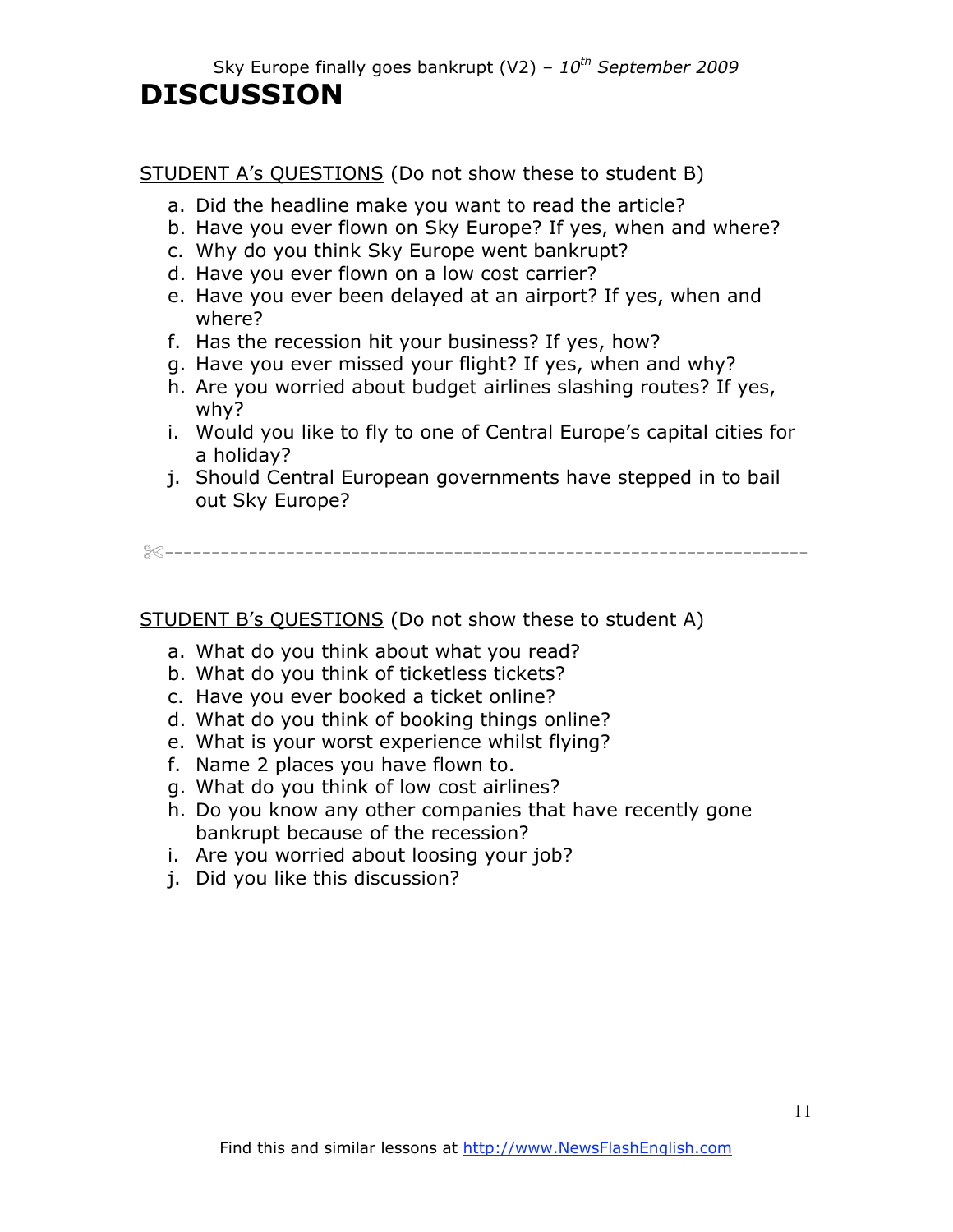Sky Europe finally goes bankrupt (V2) – *10th September 2009*

# **DISCUSSION**

STUDENT A's QUESTIONS (Do not show these to student B)

- a. Did the headline make you want to read the article?
- b. Have you ever flown on Sky Europe? If yes, when and where?
- c. Why do you think Sky Europe went bankrupt?
- d. Have you ever flown on a low cost carrier?
- e. Have you ever been delayed at an airport? If yes, when and where?
- f. Has the recession hit your business? If yes, how?
- g. Have you ever missed your flight? If yes, when and why?
- h. Are you worried about budget airlines slashing routes? If yes, why?
- i. Would you like to fly to one of Central Europe's capital cities for a holiday?
- j. Should Central European governments have stepped in to bail out Sky Europe?

✄---------------------------------------------------------------------

STUDENT B's QUESTIONS (Do not show these to student A)

- a. What do you think about what you read?
- b. What do you think of ticketless tickets?
- c. Have you ever booked a ticket online?
- d. What do you think of booking things online?
- e. What is your worst experience whilst flying?
- f. Name 2 places you have flown to.
- g. What do you think of low cost airlines?
- h. Do you know any other companies that have recently gone bankrupt because of the recession?
- i. Are you worried about loosing your job?
- j. Did you like this discussion?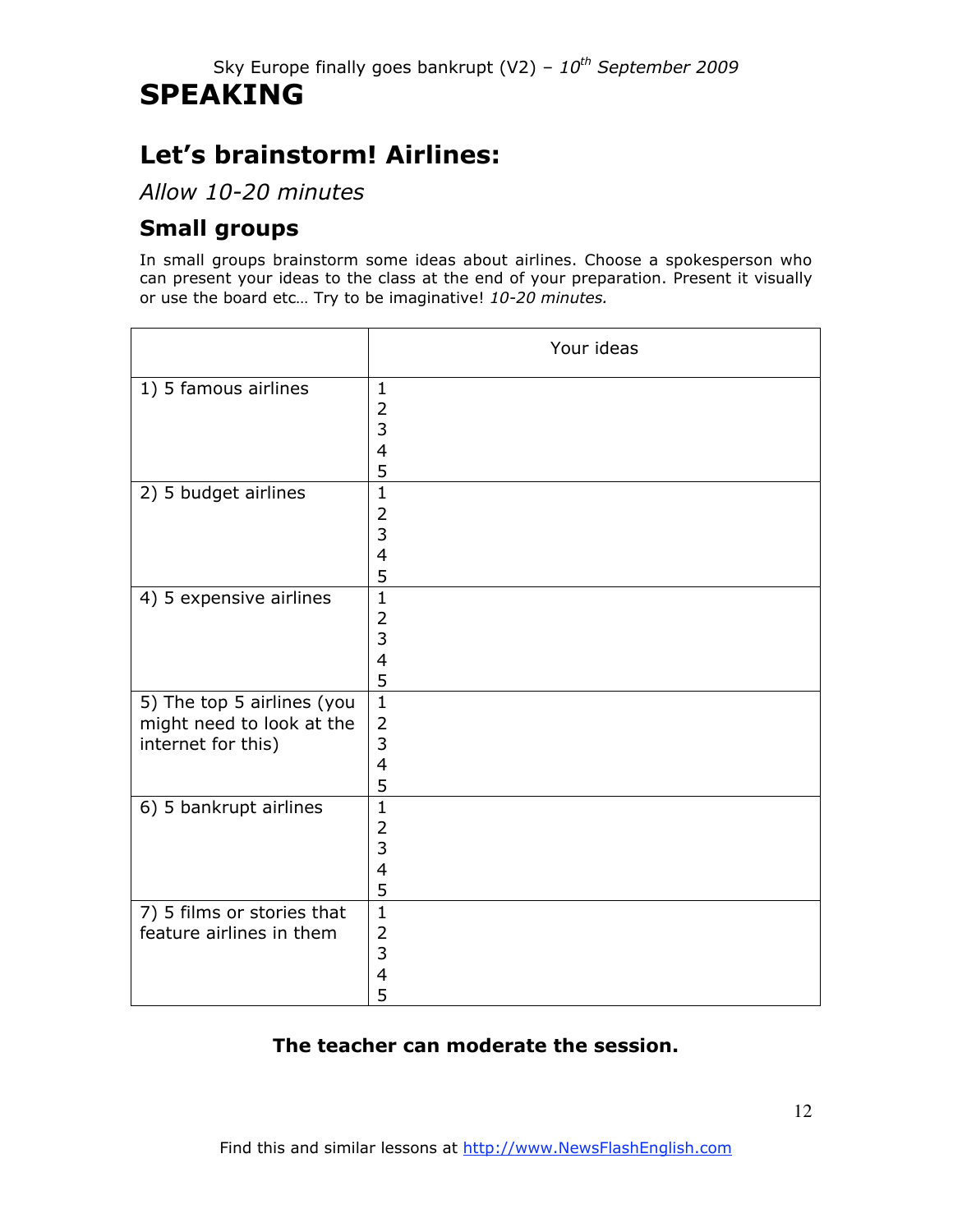# **SPEAKING**

# **Let's brainstorm! Airlines:**

*Allow 10-20 minutes*

## **Small groups**

In small groups brainstorm some ideas about airlines. Choose a spokesperson who can present your ideas to the class at the end of your preparation. Present it visually or use the board etc… Try to be imaginative! *10-20 minutes.*

|                                                                               | Your ideas                                      |
|-------------------------------------------------------------------------------|-------------------------------------------------|
| 1) 5 famous airlines                                                          | $\mathbf{1}$<br>$\overline{2}$<br>3<br>4<br>5   |
| 2) 5 budget airlines                                                          | $\mathbf{1}$<br>$\overline{2}$<br>3<br>4<br>5   |
| 4) 5 expensive airlines                                                       | $\mathbf{1}$<br>2<br>3<br>4<br>5                |
| 5) The top 5 airlines (you<br>might need to look at the<br>internet for this) | $\mathbf{1}$<br>$\overline{2}$<br>3<br>4<br>5   |
| 6) 5 bankrupt airlines                                                        | $\mathbf{1}$<br>$\overline{2}$<br>3<br>4<br>5   |
| 7) 5 films or stories that<br>feature airlines in them                        | $\overline{1}$<br>$\overline{2}$<br>3<br>4<br>5 |

## **The teacher can moderate the session.**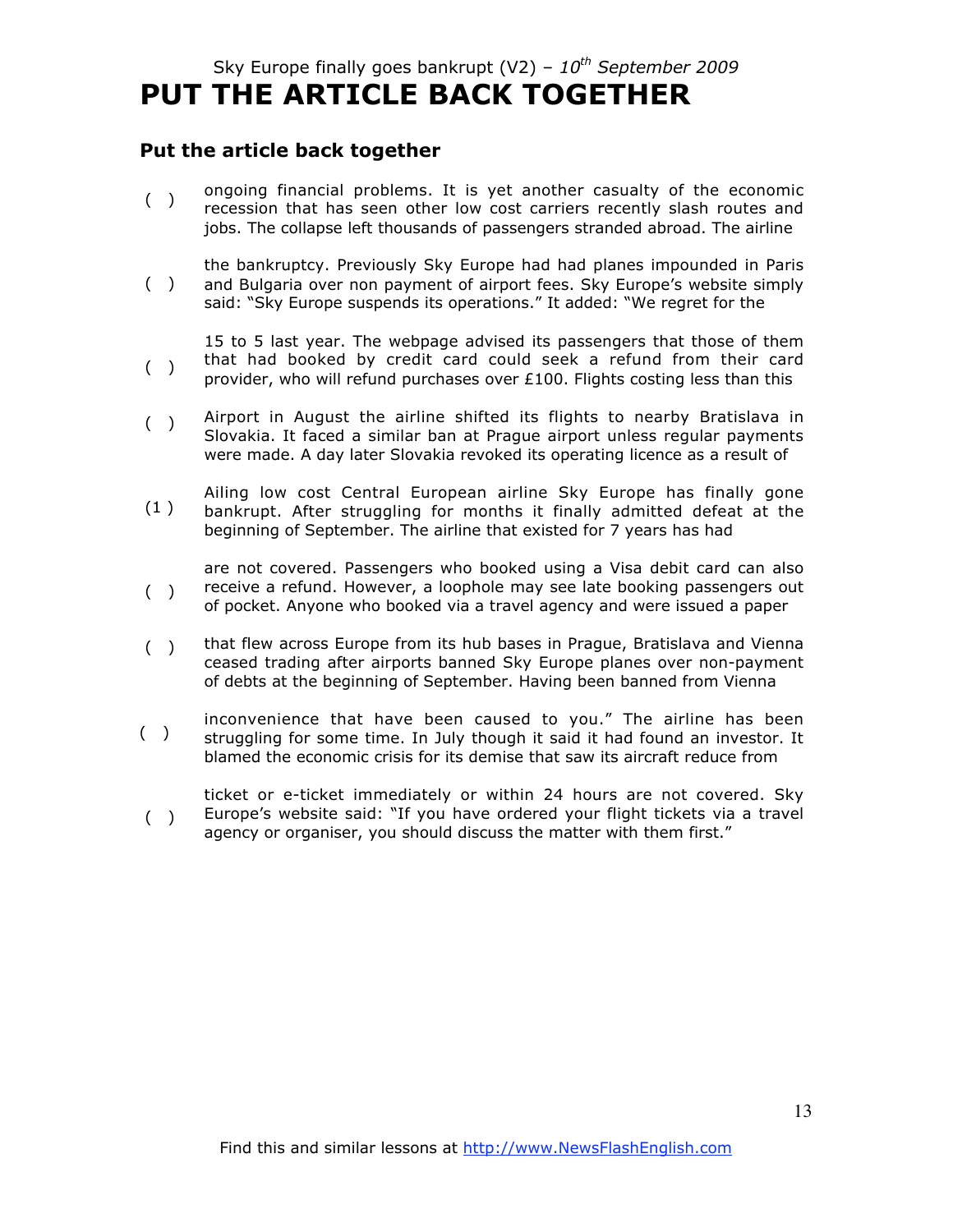# Sky Europe finally goes bankrupt (V2) – *10th September 2009* **PUT THE ARTICLE BACK TOGETHER**

### **Put the article back together**

- $($ ) ongoing financial problems. It is yet another casualty of the economic recession that has seen other low cost carriers recently slash routes and jobs. The collapse left thousands of passengers stranded abroad. The airline
- $($ ) the bankruptcy. Previously Sky Europe had had planes impounded in Paris and Bulgaria over non payment of airport fees. Sky Europe's website simply said: "Sky Europe suspends its operations." It added: "We regret for the

 $($ ) 15 to 5 last year. The webpage advised its passengers that those of them that had booked by credit card could seek a refund from their card provider, who will refund purchases over £100. Flights costing less than this

- $($ ) Airport in August the airline shifted its flights to nearby Bratislava in Slovakia. It faced a similar ban at Prague airport unless regular payments were made. A day later Slovakia revoked its operating licence as a result of
- (1 ) Ailing low cost Central European airline Sky Europe has finally gone bankrupt. After struggling for months it finally admitted defeat at the beginning of September. The airline that existed for 7 years has had
- $($ ) are not covered. Passengers who booked using a Visa debit card can also receive a refund. However, a loophole may see late booking passengers out of pocket. Anyone who booked via a travel agency and were issued a paper
- $($   $)$ that flew across Europe from its hub bases in Prague, Bratislava and Vienna ceased trading after airports banned Sky Europe planes over non-payment of debts at the beginning of September. Having been banned from Vienna
- $($ ) inconvenience that have been caused to you." The airline has been struggling for some time. In July though it said it had found an investor. It blamed the economic crisis for its demise that saw its aircraft reduce from
- $($ ) ticket or e-ticket immediately or within 24 hours are not covered. Sky Europe's website said: "If you have ordered your flight tickets via a travel agency or organiser, you should discuss the matter with them first."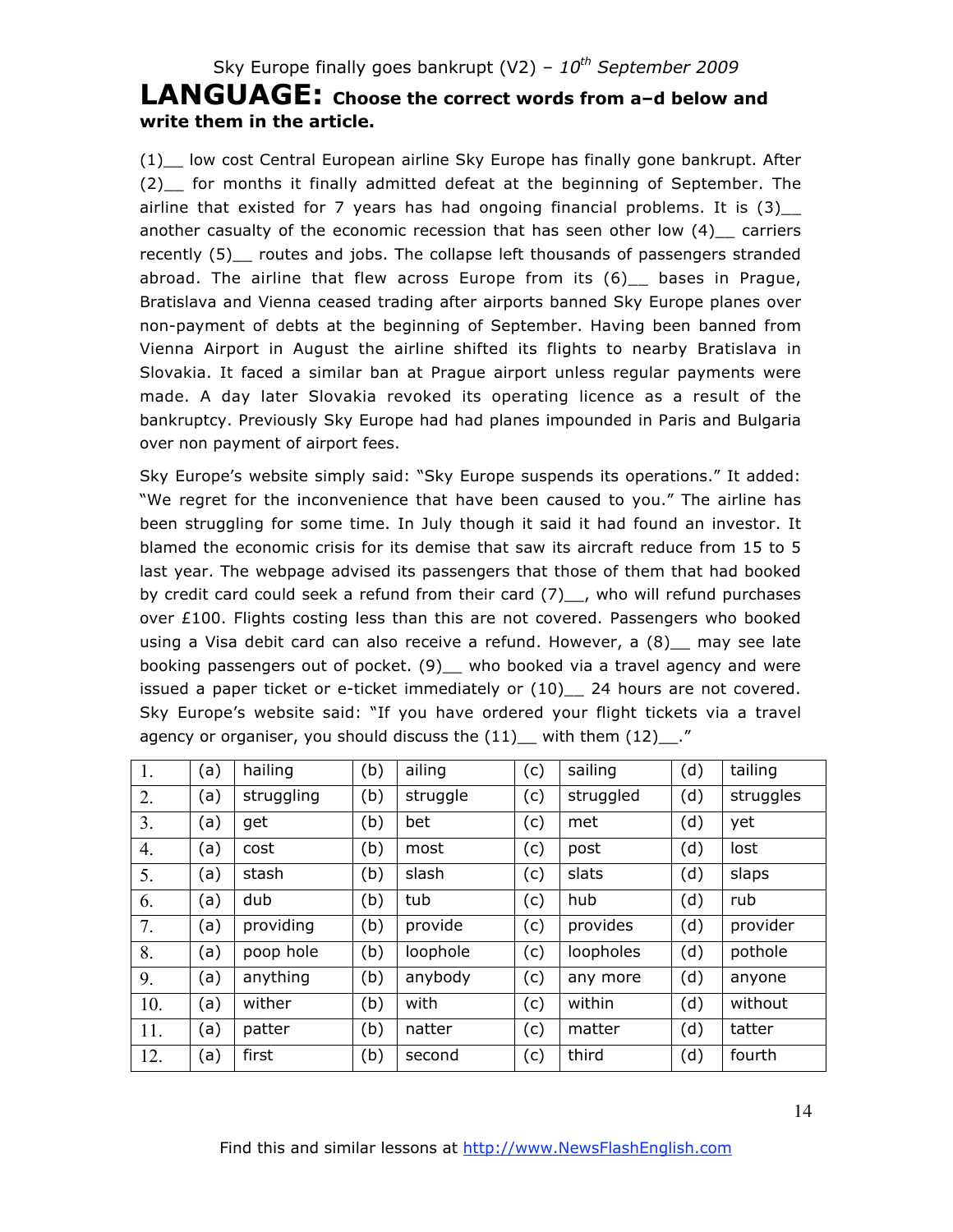## **LANGUAGE: Choose the correct words from a–d below and write them in the article.**

(1)\_\_ low cost Central European airline Sky Europe has finally gone bankrupt. After (2)\_\_ for months it finally admitted defeat at the beginning of September. The airline that existed for 7 years has had ongoing financial problems. It is  $(3)$ another casualty of the economic recession that has seen other low  $(4)$  carriers recently (5) routes and jobs. The collapse left thousands of passengers stranded abroad. The airline that flew across Europe from its (6)\_\_ bases in Prague, Bratislava and Vienna ceased trading after airports banned Sky Europe planes over non-payment of debts at the beginning of September. Having been banned from Vienna Airport in August the airline shifted its flights to nearby Bratislava in Slovakia. It faced a similar ban at Prague airport unless regular payments were made. A day later Slovakia revoked its operating licence as a result of the bankruptcy. Previously Sky Europe had had planes impounded in Paris and Bulgaria over non payment of airport fees.

Sky Europe's website simply said: "Sky Europe suspends its operations." It added: "We regret for the inconvenience that have been caused to you." The airline has been struggling for some time. In July though it said it had found an investor. It blamed the economic crisis for its demise that saw its aircraft reduce from 15 to 5 last year. The webpage advised its passengers that those of them that had booked by credit card could seek a refund from their card (7)<sub>\_\_</sub>, who will refund purchases over £100. Flights costing less than this are not covered. Passengers who booked using a Visa debit card can also receive a refund. However, a  $(8)$  may see late booking passengers out of pocket. (9) \_ who booked via a travel agency and were issued a paper ticket or e-ticket immediately or  $(10)$  24 hours are not covered. Sky Europe's website said: "If you have ordered your flight tickets via a travel agency or organiser, you should discuss the  $(11)$  with them  $(12)$ ."

| 1.<br>hailing<br>(b)<br>ailing<br>(d)<br>tailing<br>(c)<br>sailing<br>(a)<br>2.<br>(b)<br>(c)<br>(d)<br>(a)<br>struggling<br>struggle<br>struggled<br>struggles<br>3.<br>(d)<br>(a)<br>(b)<br>bet<br>(c)<br>get<br>yet<br>met<br>$\overline{4}$ .<br>(b)<br>(d)<br>(c)<br>(a)<br>lost<br>cost<br>most<br>post<br>5.<br>(b)<br>(d)<br>slash<br>(c)<br>slats<br>slaps<br>(a)<br>stash |
|-------------------------------------------------------------------------------------------------------------------------------------------------------------------------------------------------------------------------------------------------------------------------------------------------------------------------------------------------------------------------------------|
|                                                                                                                                                                                                                                                                                                                                                                                     |
|                                                                                                                                                                                                                                                                                                                                                                                     |
|                                                                                                                                                                                                                                                                                                                                                                                     |
|                                                                                                                                                                                                                                                                                                                                                                                     |
|                                                                                                                                                                                                                                                                                                                                                                                     |
| (b)<br>(d)<br>(c)<br>6.<br>(a)<br>dub<br>tub<br>hub<br>rub                                                                                                                                                                                                                                                                                                                          |
| 7.<br>(b)<br>providing<br>provide<br>provides<br>(d)<br>provider<br>(c)<br>(a)                                                                                                                                                                                                                                                                                                      |
| 8.<br>(b)<br>loopholes<br>(d)<br>pothole<br>poop hole<br>loophole<br>(c)<br>(a)                                                                                                                                                                                                                                                                                                     |
| 9.<br>anything<br>(b)<br>(d)<br>anybody<br>(c)<br>(a)<br>any more<br>anyone                                                                                                                                                                                                                                                                                                         |
| 10.<br>wither<br>(b)<br>(c)<br>(d)<br>(a)<br>with<br>within<br>without                                                                                                                                                                                                                                                                                                              |
| (b)<br>(c)<br>11.<br>(d)<br>(a)<br>tatter<br>patter<br>natter<br>matter                                                                                                                                                                                                                                                                                                             |
| third<br>(b)<br>(c)<br>(d)<br>12.<br>(a)<br>fourth<br>first<br>second                                                                                                                                                                                                                                                                                                               |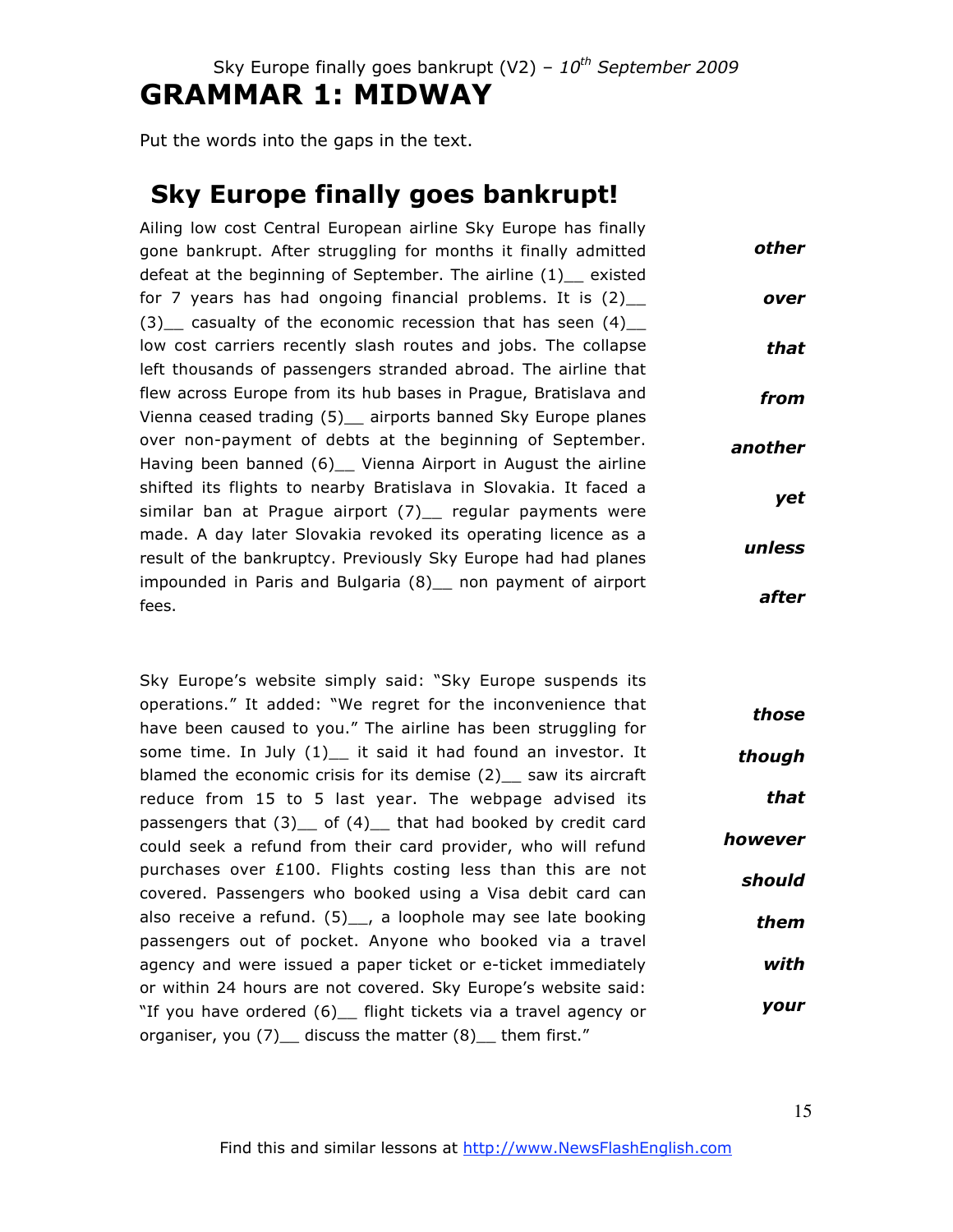Sky Europe finally goes bankrupt (V2) -  $10^{th}$  September 2009

# **GRAMMAR 1: MIDWAY**

Put the words into the gaps in the text.

# **Sky Europe finally goes bankrupt!**

Ailing low cost Central European airline Sky Europe has finally gone bankrupt. After struggling for months it finally admitted defeat at the beginning of September. The airline (1)\_\_ existed for 7 years has had ongoing financial problems. It is  $(2)$ (3) casualty of the economic recession that has seen  $(4)$ low cost carriers recently slash routes and jobs. The collapse left thousands of passengers stranded abroad. The airline that flew across Europe from its hub bases in Prague, Bratislava and Vienna ceased trading (5)\_\_ airports banned Sky Europe planes over non-payment of debts at the beginning of September. Having been banned (6) Vienna Airport in August the airline shifted its flights to nearby Bratislava in Slovakia. It faced a similar ban at Prague airport (7) regular payments were made. A day later Slovakia revoked its operating licence as a result of the bankruptcy. Previously Sky Europe had had planes impounded in Paris and Bulgaria (8)\_\_ non payment of airport fees. *other over that from another yet unless after*

Sky Europe's website simply said: "Sky Europe suspends its operations." It added: "We regret for the inconvenience that have been caused to you." The airline has been struggling for some time. In July  $(1)$  it said it had found an investor. It blamed the economic crisis for its demise (2) saw its aircraft reduce from 15 to 5 last year. The webpage advised its passengers that  $(3)$  of  $(4)$  that had booked by credit card could seek a refund from their card provider, who will refund purchases over £100. Flights costing less than this are not covered. Passengers who booked using a Visa debit card can also receive a refund.  $(5)$ , a loophole may see late booking passengers out of pocket. Anyone who booked via a travel agency and were issued a paper ticket or e-ticket immediately or within 24 hours are not covered. Sky Europe's website said: "If you have ordered (6)\_\_ flight tickets via a travel agency or organiser, you  $(7)$  discuss the matter  $(8)$  them first." *those though that however should them with your*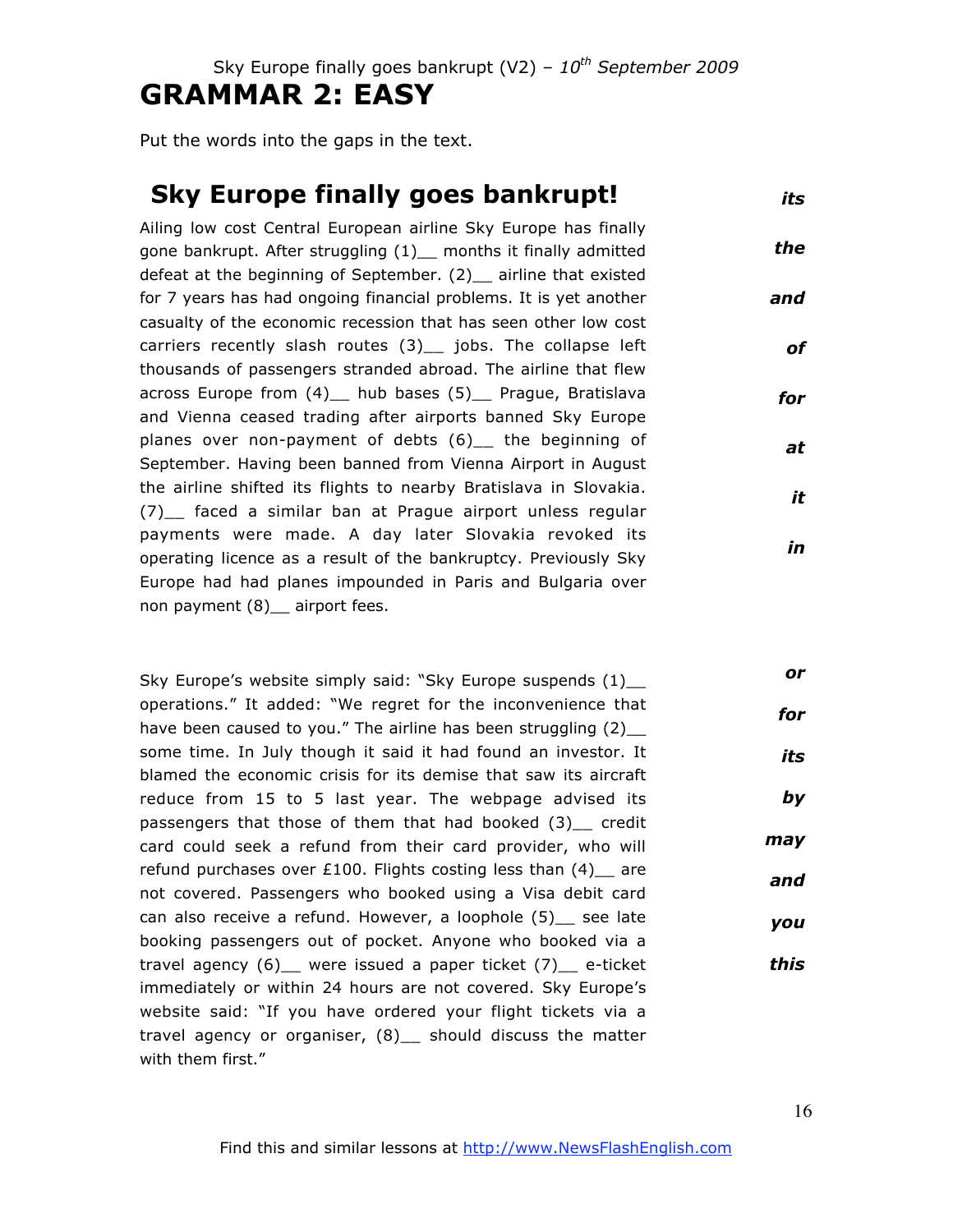Put the words into the gaps in the text.

#### **Sky Europe finally goes bankrupt!** *its*

Ailing low cost Central European airline Sky Europe has finally gone bankrupt. After struggling (1)\_\_ months it finally admitted defeat at the beginning of September. (2) airline that existed for 7 years has had ongoing financial problems. It is yet another casualty of the economic recession that has seen other low cost carriers recently slash routes (3)\_\_ jobs. The collapse left thousands of passengers stranded abroad. The airline that flew across Europe from (4) hub bases (5) Prague, Bratislava and Vienna ceased trading after airports banned Sky Europe planes over non-payment of debts (6)\_\_ the beginning of September. Having been banned from Vienna Airport in August the airline shifted its flights to nearby Bratislava in Slovakia. (7)\_\_ faced a similar ban at Prague airport unless regular payments were made. A day later Slovakia revoked its operating licence as a result of the bankruptcy. Previously Sky Europe had had planes impounded in Paris and Bulgaria over non payment (8) \_ airport fees. *the and of for at it in*

Sky Europe's website simply said: "Sky Europe suspends  $(1)$ operations." It added: "We regret for the inconvenience that have been caused to you." The airline has been struggling (2) some time. In July though it said it had found an investor. It blamed the economic crisis for its demise that saw its aircraft reduce from 15 to 5 last year. The webpage advised its passengers that those of them that had booked (3) credit card could seek a refund from their card provider, who will refund purchases over £100. Flights costing less than  $(4)$  are not covered. Passengers who booked using a Visa debit card can also receive a refund. However, a loophole (5)\_\_ see late booking passengers out of pocket. Anyone who booked via a travel agency (6)\_\_ were issued a paper ticket (7)\_\_ e-ticket immediately or within 24 hours are not covered. Sky Europe's website said: "If you have ordered your flight tickets via a travel agency or organiser, (8)\_\_ should discuss the matter with them first." *or for its by may and you this*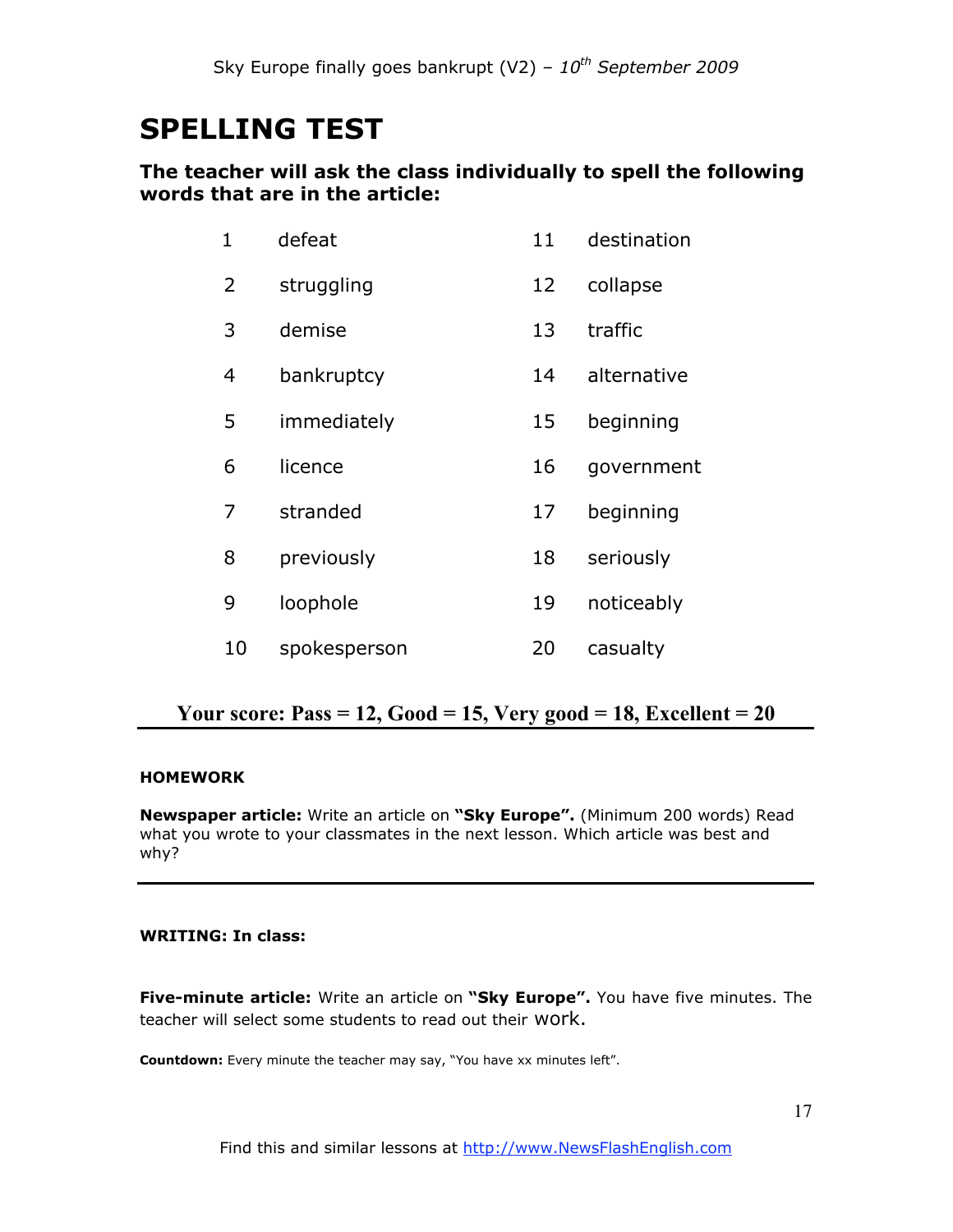# **SPELLING TEST**

### **The teacher will ask the class individually to spell the following words that are in the article:**

| 1  | defeat       | 11 | destination |
|----|--------------|----|-------------|
| 2  | struggling   | 12 | collapse    |
| 3  | demise       | 13 | traffic     |
| 4  | bankruptcy   | 14 | alternative |
| 5  | immediately  | 15 | beginning   |
| 6  | licence      | 16 | government  |
| 7  | stranded     | 17 | beginning   |
| 8  | previously   | 18 | seriously   |
| 9  | loophole     | 19 | noticeably  |
| 10 | spokesperson | 20 | casualty    |

### **Your score: Pass = 12, Good = 15, Very good = 18, Excellent = 20**

### **HOMEWORK**

**Newspaper article:** Write an article on **"Sky Europe".** (Minimum 200 words) Read what you wrote to your classmates in the next lesson. Which article was best and why?

### **WRITING: In class:**

**Five-minute article:** Write an article on **"Sky Europe".** You have five minutes. The teacher will select some students to read out their work.

**Countdown:** Every minute the teacher may say, "You have xx minutes left".